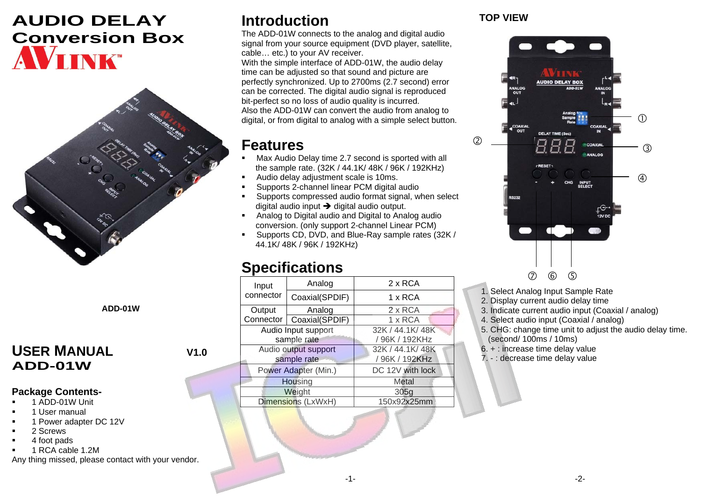# **AUDIO DELAY Conversion Box**  VIINK



**ADD-01W**

### USER MANUAL V1.0 **ADD-01W**

#### **Package Contents-**

- 1 ADD-01W Unit
- 1 User manual
- 1 Power adapter DC 12V
- 2 Screws
- 4 foot pads
- **1 RCA cable 1.2M**

Any thing missed, please contact with your vendor.

# **Introduction**

The ADD-01W connects to the analog and digital audio signal from your source equipment (DVD player, satellite, cable… etc.) to your AV receiver.

With the simple interface of ADD-01W, the audio delay time can be adjusted so that sound and picture are perfectly synchronized. Up to 2700ms (2.7 second) error can be corrected. The digital audio signal is reproduced bit-perfect so no loss of audio quality is incurred. Also the ADD-01W can convert the audio from analog to digital, or from digital to analog with a simple select button.

## **Features**

- Max Audio Delay time 2.7 second is sported with all the sample rate. (32K / 44.1K/ 48K / 96K / 192KHz)
- Audio delay adjustment scale is 10ms.
- Supports 2-channel linear PCM digital audio
- Supports compressed audio format signal, when select digital audio input  $\rightarrow$  digital audio output.
- Analog to Digital audio and Digital to Analog audio conversion. (only support 2-channel Linear PCM)
- Supports CD, DVD, and Blue-Ray sample rates (32K / 44.1K/ 48K / 96K / 192KHz)

## **Specifications**

|  | Input<br>connector                                          | Analog         | $2 \times RCA$   |
|--|-------------------------------------------------------------|----------------|------------------|
|  |                                                             | Coaxial(SPDIF) | 1 x RCA          |
|  | Output                                                      | Analog         | 2 x RCA          |
|  | <b>Connector</b>                                            | Coaxial(SPDIF) | 1 x RCA          |
|  | Audio Input support                                         |                | 32K / 44.1K/ 48K |
|  | sample rate                                                 |                | /96K / 192KHz    |
|  | Audio output support<br>sample rate<br>Power Adapter (Min.) |                | 32K / 44.1K/ 48K |
|  |                                                             |                | / 96K / 192KHz   |
|  |                                                             |                | DC 12V with lock |
|  |                                                             | Housing        | Metal            |
|  | Weight                                                      |                | 305g             |
|  | Dimensions (LxWxH)                                          |                | 150x92x25mm      |
|  |                                                             |                |                  |

#### **TOP VIEW**



- 1. Select Analog Input Sample Rate
- 2. Display current audio delay time
- 3. Indicate current audio input (Coaxial / analog)
- 4. Select audio input (Coaxial / analog)
- 5. CHG: change time unit to adjust the audio delay time. (second/ 100ms / 10ms)
- 6. + : increase time delay value
- 7. : decrease time delay value